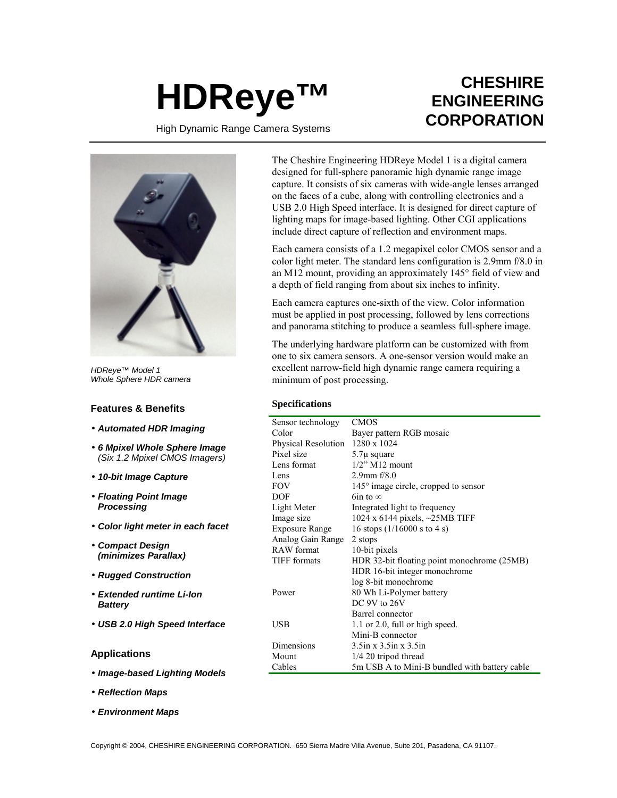# **HDReye™**

## **CHESHIRE ENGINEERING CORPORATION**

High Dynamic Range Camera Systems



*HDReye™ Model 1 Whole Sphere HDR camera*

### **Features & Benefits**

- *Automated HDR Imaging*
- *6 Mpixel Whole Sphere Image (Six 1.2 Mpixel CMOS Imagers)*
- *10-bit Image Capture*
- *Floating Point Image Processing*
- *Color light meter in each facet*
- *Compact Design (minimizes Parallax)*
- *Rugged Construction*
- *Extended runtime Li-Ion Battery*
- *USB 2.0 High Speed Interface*

### **Applications**

- *Image-based Lighting Models*
- *Reflection Maps*
- *Environment Maps*

The Cheshire Engineering HDReye Model 1 is a digital camera designed for full-sphere panoramic high dynamic range image capture. It consists of six cameras with wide-angle lenses arranged on the faces of a cube, along with controlling electronics and a USB 2.0 High Speed interface. It is designed for direct capture of lighting maps for image-based lighting. Other CGI applications include direct capture of reflection and environment maps.

Each camera consists of a 1.2 megapixel color CMOS sensor and a color light meter. The standard lens configuration is 2.9mm f/8.0 in an M12 mount, providing an approximately 145° field of view and a depth of field ranging from about six inches to infinity.

Each camera captures one-sixth of the view. Color information must be applied in post processing, followed by lens corrections and panorama stitching to produce a seamless full-sphere image.

The underlying hardware platform can be customized with from one to six camera sensors. A one-sensor version would make an excellent narrow-field high dynamic range camera requiring a minimum of post processing.

### **Specifications**

| Sensor technology     | <b>CMOS</b>                                    |
|-----------------------|------------------------------------------------|
| Color                 | Bayer pattern RGB mosaic                       |
| Physical Resolution   | 1280 x 1024                                    |
| Pixel size            | $5.7\mu$ square                                |
| Lens format           | $1/2$ " M $12$ mount                           |
| Lens                  | 2.9mm $f/8.0$                                  |
| <b>FOV</b>            | 145° image circle, cropped to sensor           |
| DOF                   | 6in to $\infty$                                |
| Light Meter           | Integrated light to frequency                  |
| Image size            | 1024 x 6144 pixels, $\sim$ 25MB TIFF           |
| <b>Exposure Range</b> | 16 stops $(1/16000 \text{ s to } 4 \text{ s})$ |
| Analog Gain Range     | 2 stops                                        |
| <b>RAW</b> format     | 10-bit pixels                                  |
| TIFF formats          | HDR 32-bit floating point monochrome (25MB)    |
|                       | HDR 16-bit integer monochrome                  |
|                       | log 8-bit monochrome                           |
| Power                 | 80 Wh Li-Polymer battery                       |
|                       | DC 9V to 26V                                   |
|                       | <b>Barrel</b> connector                        |
| USB                   | 1.1 or 2.0, full or high speed.                |
|                       | Mini-B connector                               |
| Dimensions            | $3.5$ in x $3.5$ in x $3.5$ in                 |
| Mount                 | $1/4$ 20 tripod thread                         |
| Cables                | 5m USB A to Mini-B bundled with battery cable  |